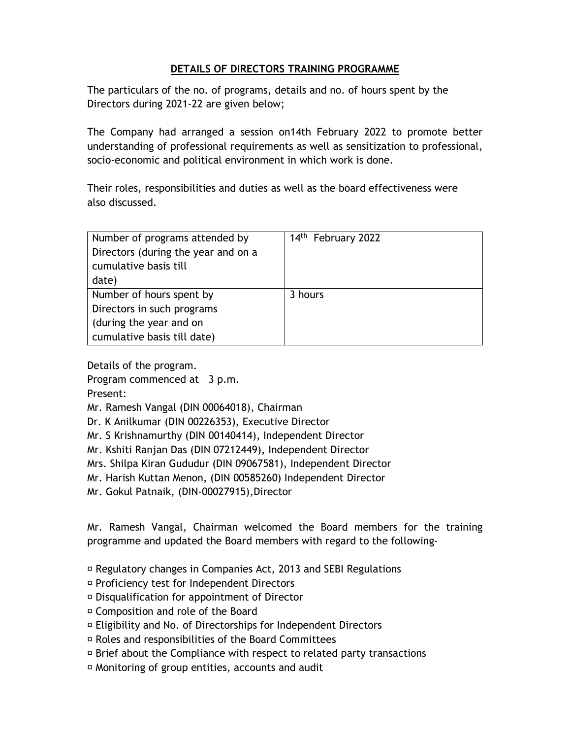## **DETAILS OF DIRECTORS TRAINING PROGRAMME**

The particulars of the no. of programs, details and no. of hours spent by the Directors during 2021-22 are given below;

The Company had arranged a session on14th February 2022 to promote better understanding of professional requirements as well as sensitization to professional, socio-economic and political environment in which work is done.

Their roles, responsibilities and duties as well as the board effectiveness were also discussed.

| Number of programs attended by<br>Directors (during the year and on a<br>cumulative basis till<br>date)          | 14 <sup>th</sup> February 2022 |
|------------------------------------------------------------------------------------------------------------------|--------------------------------|
| Number of hours spent by<br>Directors in such programs<br>(during the year and on<br>cumulative basis till date) | 3 hours                        |

Details of the program.

Program commenced at 3 p.m.

Present:

- Mr. Ramesh Vangal (DIN 00064018), Chairman
- Dr. K Anilkumar (DIN 00226353), Executive Director
- Mr. S Krishnamurthy (DIN 00140414), Independent Director
- Mr. Kshiti Ranjan Das (DIN 07212449), Independent Director

Mrs. Shilpa Kiran Gududur (DIN 09067581), Independent Director

Mr. Harish Kuttan Menon, (DIN 00585260) Independent Director

Mr. Gokul Patnaik, (DIN-00027915),Director

Mr. Ramesh Vangal, Chairman welcomed the Board members for the training programme and updated the Board members with regard to the following-

Regulatory changes in Companies Act, 2013 and SEBI Regulations

Proficiency test for Independent Directors

Disqualification for appointment of Director

Composition and role of the Board

Eligibility and No. of Directorships for Independent Directors

Roles and responsibilities of the Board Committees

 $\overline{P}$  Brief about the Compliance with respect to related party transactions

Monitoring of group entities, accounts and audit